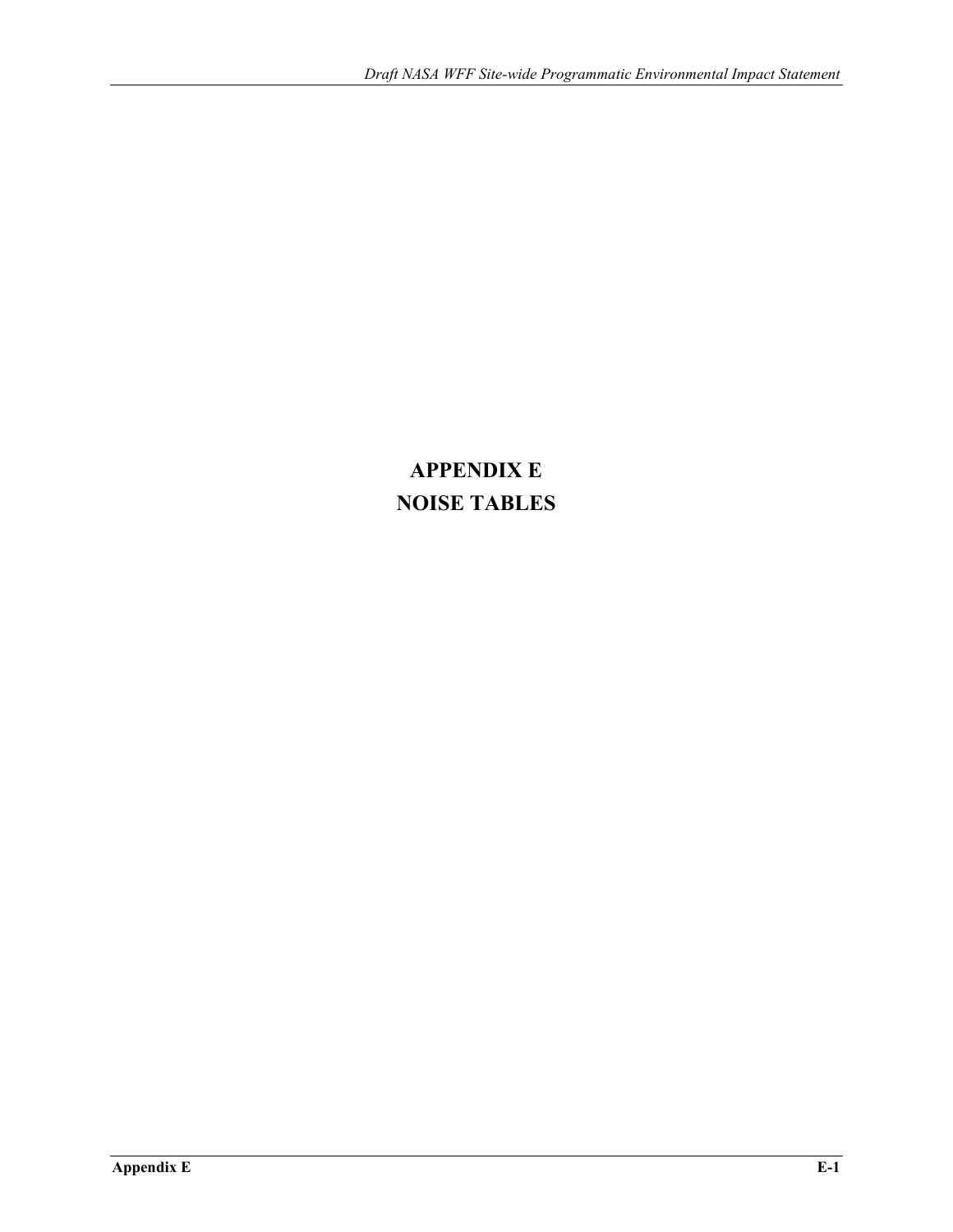## **APPENDIX E NOISE TABLES**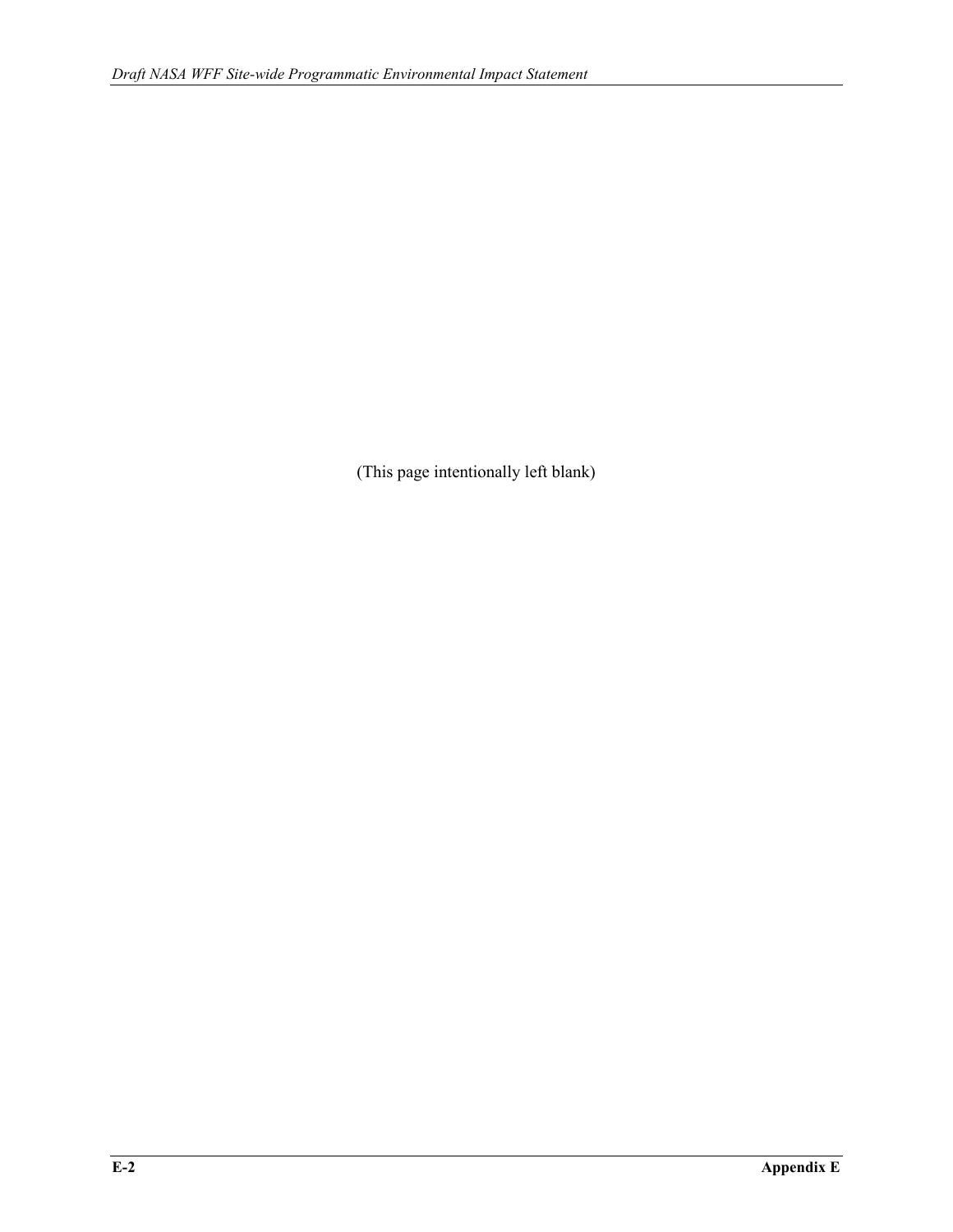(This page intentionally left blank)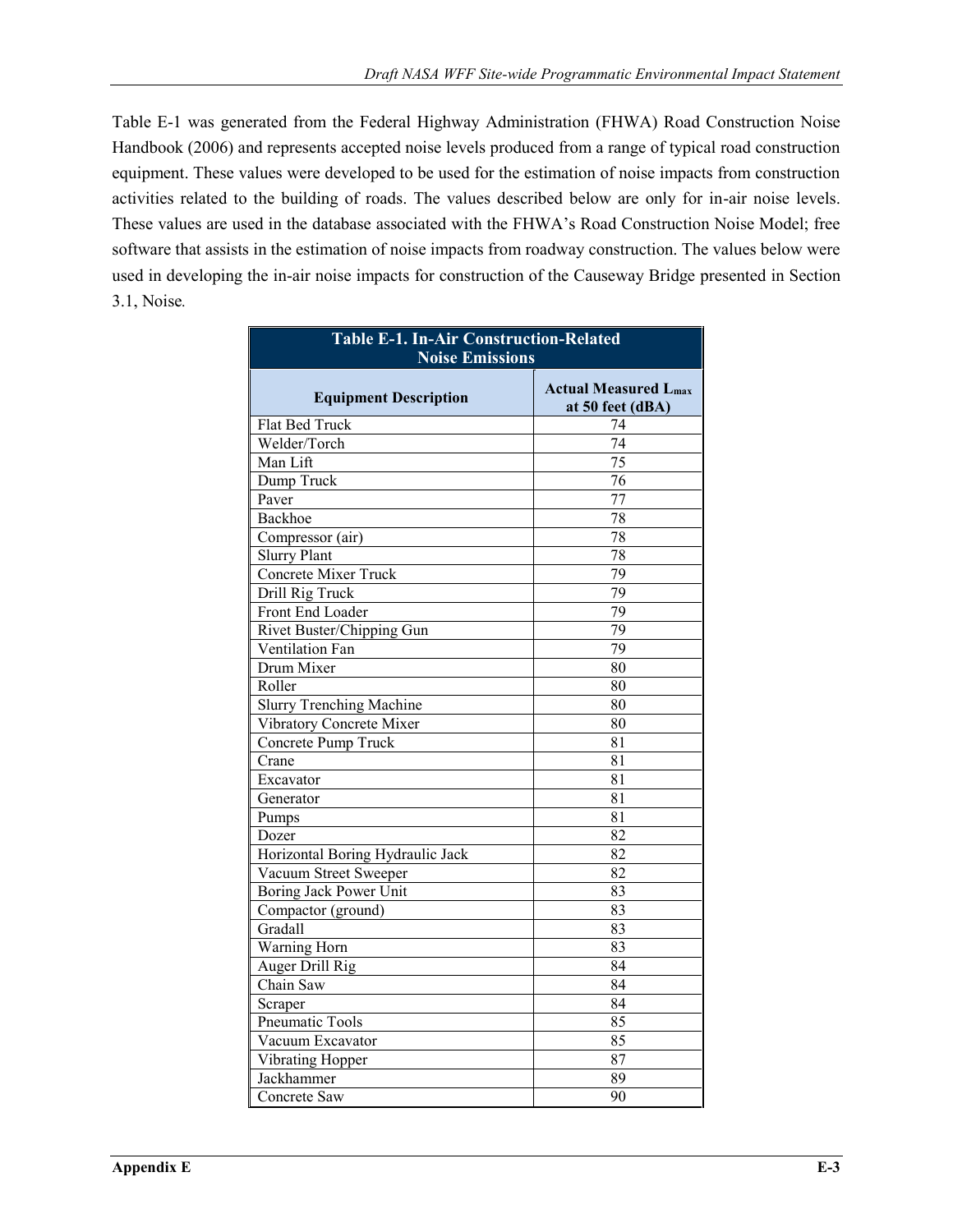Table E-1 was generated from the Federal Highway Administration (FHWA) Road Construction Noise Handbook (2006) and represents accepted noise levels produced from a range of typical road construction equipment. These values were developed to be used for the estimation of noise impacts from construction activities related to the building of roads. The values described below are only for in-air noise levels. These values are used in the database associated with the FHWA's Road Construction Noise Model; free software that assists in the estimation of noise impacts from roadway construction. The values below were used in developing the in-air noise impacts for construction of the Causeway Bridge presented in Section 3.1, Noise*.*

| <b>Table E-1. In-Air Construction-Related</b><br><b>Noise Emissions</b> |                                                            |  |  |
|-------------------------------------------------------------------------|------------------------------------------------------------|--|--|
| <b>Equipment Description</b>                                            | <b>Actual Measured L<sub>max</sub></b><br>at 50 feet (dBA) |  |  |
| Flat Bed Truck                                                          | 74                                                         |  |  |
| Welder/Torch                                                            | 74                                                         |  |  |
| Man Lift                                                                | 75                                                         |  |  |
| Dump Truck                                                              | 76                                                         |  |  |
| Paver                                                                   | 77                                                         |  |  |
| <b>Backhoe</b>                                                          | 78                                                         |  |  |
| Compressor (air)                                                        | 78                                                         |  |  |
| <b>Slurry Plant</b>                                                     | 78                                                         |  |  |
| <b>Concrete Mixer Truck</b>                                             | $\overline{79}$                                            |  |  |
| Drill Rig Truck                                                         | 79                                                         |  |  |
| Front End Loader                                                        | 79                                                         |  |  |
| Rivet Buster/Chipping Gun<br>79                                         |                                                            |  |  |
| Ventilation Fan                                                         | 79                                                         |  |  |
| Drum Mixer                                                              | $\overline{80}$                                            |  |  |
| Roller                                                                  | 80                                                         |  |  |
| <b>Slurry Trenching Machine</b>                                         | $\overline{80}$                                            |  |  |
| Vibratory Concrete Mixer                                                | 80                                                         |  |  |
| Concrete Pump Truck                                                     | 81                                                         |  |  |
| Crane                                                                   | $\overline{81}$                                            |  |  |
| Excavator                                                               | $\overline{81}$                                            |  |  |
| Generator                                                               | $\overline{81}$                                            |  |  |
| Pumps                                                                   | 81                                                         |  |  |
| Dozer                                                                   | $\overline{82}$                                            |  |  |
| Horizontal Boring Hydraulic Jack                                        | $\overline{82}$                                            |  |  |
| Vacuum Street Sweeper                                                   | 82                                                         |  |  |
| Boring Jack Power Unit                                                  | $\overline{83}$                                            |  |  |
| Compactor (ground)                                                      | 83                                                         |  |  |
| Gradall                                                                 | 83                                                         |  |  |
| Warning Horn                                                            | 83                                                         |  |  |
| Auger Drill Rig                                                         | 84                                                         |  |  |
| Chain Saw                                                               | 84                                                         |  |  |
| Scraper                                                                 | 84                                                         |  |  |
| Pneumatic Tools                                                         | 85                                                         |  |  |
| Vacuum Excavator                                                        | 85                                                         |  |  |
| <b>Vibrating Hopper</b>                                                 | 87                                                         |  |  |
| Jackhammer                                                              | 89                                                         |  |  |
| Concrete Saw                                                            | 90                                                         |  |  |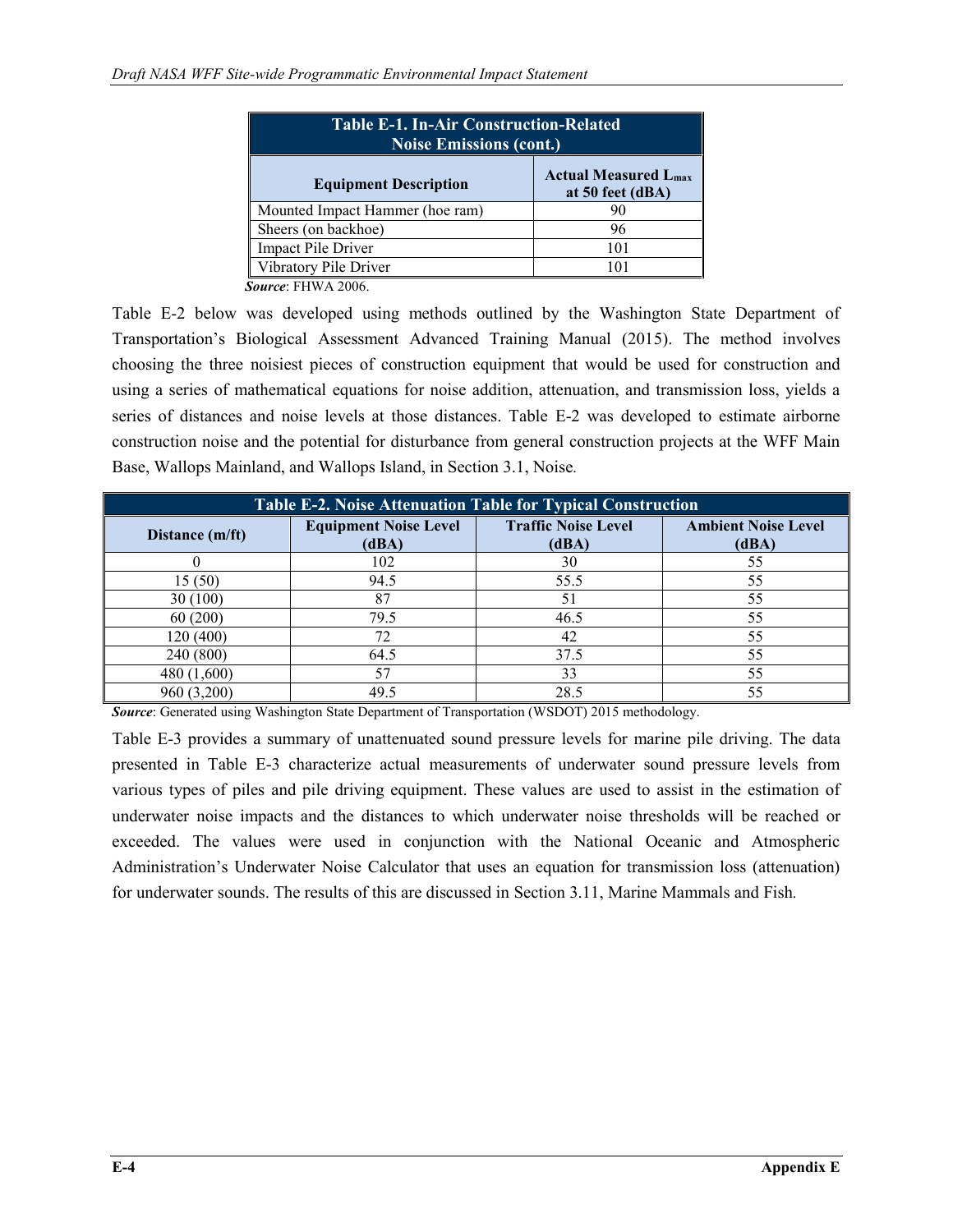| <b>Table E-1. In-Air Construction-Related</b><br><b>Noise Emissions (cont.)</b> |                                                 |  |  |
|---------------------------------------------------------------------------------|-------------------------------------------------|--|--|
| <b>Equipment Description</b>                                                    | <b>Actual Measured Lmax</b><br>at 50 feet (dBA) |  |  |
| Mounted Impact Hammer (hoe ram)                                                 | 90                                              |  |  |
| Sheers (on backhoe)                                                             | 96                                              |  |  |
| <b>Impact Pile Driver</b>                                                       | 101                                             |  |  |
| Vibratory Pile Driver                                                           | 101                                             |  |  |
| <b>Source: FHWA 2006.</b>                                                       |                                                 |  |  |

Table E-2 below was developed using methods outlined by the Washington State Department of Transportation's Biological Assessment Advanced Training Manual (2015). The method involves choosing the three noisiest pieces of construction equipment that would be used for construction and using a series of mathematical equations for noise addition, attenuation, and transmission loss, yields a series of distances and noise levels at those distances. Table E-2 was developed to estimate airborne construction noise and the potential for disturbance from general construction projects at the WFF Main Base, Wallops Mainland, and Wallops Island, in Section 3.1, Noise*.*

| <b>Table E-2. Noise Attenuation Table for Typical Construction</b> |                                       |                                     |                                     |
|--------------------------------------------------------------------|---------------------------------------|-------------------------------------|-------------------------------------|
| Distance (m/ft)                                                    | <b>Equipment Noise Level</b><br>(dBA) | <b>Traffic Noise Level</b><br>(dBA) | <b>Ambient Noise Level</b><br>(dBA) |
|                                                                    | 102                                   | 30                                  | 55                                  |
| 15(50)                                                             | 94.5                                  | 55.5                                | 55                                  |
| 30 (100)                                                           | 87                                    | 51                                  | 55                                  |
| 60(200)                                                            | 79.5                                  | 46.5                                | 55                                  |
| 120 (400)                                                          | 72                                    | 42                                  | 55                                  |
| 240 (800)                                                          | 64.5                                  | 37.5                                | 55                                  |
| 480 (1,600)                                                        | 57                                    | 33                                  | 55                                  |
| 960 (3,200)                                                        | 49.5                                  | 28.5                                | 55                                  |

*Source*: Generated using Washington State Department of Transportation (WSDOT) 2015 methodology.

Table E-3 provides a summary of unattenuated sound pressure levels for marine pile driving. The data presented in Table E-3 characterize actual measurements of underwater sound pressure levels from various types of piles and pile driving equipment. These values are used to assist in the estimation of underwater noise impacts and the distances to which underwater noise thresholds will be reached or exceeded. The values were used in conjunction with the National Oceanic and Atmospheric Administration's Underwater Noise Calculator that uses an equation for transmission loss (attenuation) for underwater sounds. The results of this are discussed in Section 3.11, Marine Mammals and Fish*.*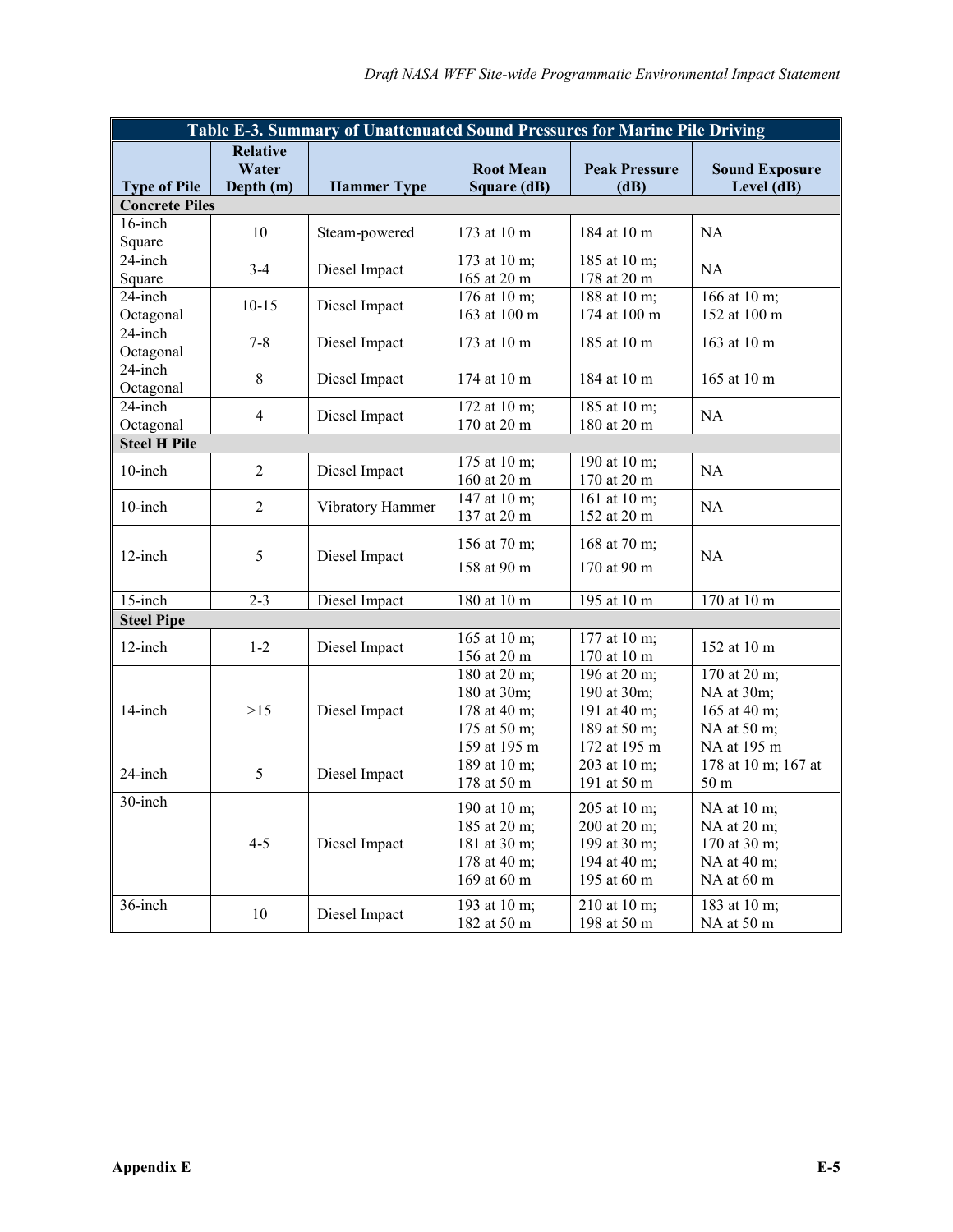| Table E-3. Summary of Unattenuated Sound Pressures for Marine Pile Driving |                                       |                    |                                                                                    |                                                                             |                                                                          |
|----------------------------------------------------------------------------|---------------------------------------|--------------------|------------------------------------------------------------------------------------|-----------------------------------------------------------------------------|--------------------------------------------------------------------------|
| <b>Type of Pile</b>                                                        | <b>Relative</b><br>Water<br>Depth (m) | <b>Hammer Type</b> | <b>Root Mean</b><br>Square (dB)                                                    | <b>Peak Pressure</b><br>(dB)                                                | <b>Sound Exposure</b><br>Level (dB)                                      |
| <b>Concrete Piles</b>                                                      |                                       |                    |                                                                                    |                                                                             |                                                                          |
| 16-inch<br>Square                                                          | 10                                    | Steam-powered      | 173 at 10 m                                                                        | 184 at 10 m                                                                 | <b>NA</b>                                                                |
| 24-inch<br>Square                                                          | $3-4$                                 | Diesel Impact      | 173 at 10 m;<br>165 at 20 m                                                        | 185 at 10 m;<br>178 at 20 m                                                 | <b>NA</b>                                                                |
| 24-inch<br>Octagonal                                                       | $10 - 15$                             | Diesel Impact      | 176 at 10 m;<br>163 at 100 m                                                       | 188 at 10 m;<br>174 at 100 m                                                | 166 at 10 m;<br>152 at 100 m                                             |
| 24-inch<br>Octagonal                                                       | $7 - 8$                               | Diesel Impact      | 173 at 10 m                                                                        | 185 at 10 m                                                                 | 163 at 10 m                                                              |
| $24$ -inch<br>Octagonal                                                    | 8                                     | Diesel Impact      | 174 at 10 m                                                                        | 184 at 10 m                                                                 | 165 at 10 m                                                              |
| 24-inch<br>Octagonal                                                       | $\overline{4}$                        | Diesel Impact      | $\frac{1}{2}$ at 10 m;<br>170 at 20 m                                              | 185 at 10 m;<br>180 at 20 m                                                 | NA                                                                       |
| <b>Steel H Pile</b>                                                        |                                       |                    |                                                                                    |                                                                             |                                                                          |
| 10-inch                                                                    | $\overline{2}$                        | Diesel Impact      | $\frac{175 \text{ at } 10 \text{ m}}{175 \text{ at } 10 \text{ m}}$<br>160 at 20 m | 190 at 10 m;<br>170 at 20 m                                                 | NA                                                                       |
| 10-inch                                                                    | $\overline{2}$                        | Vibratory Hammer   | 147 at 10 m;<br>137 at 20 m                                                        | 161 at 10 m;<br>152 at 20 m                                                 | <b>NA</b>                                                                |
| 12-inch                                                                    | 5                                     | Diesel Impact      | 156 at 70 m;<br>158 at 90 m                                                        | 168 at 70 m;<br>170 at 90 m                                                 | <b>NA</b>                                                                |
| 15-inch                                                                    | $2 - 3$                               | Diesel Impact      | 180 at 10 m                                                                        | 195 at 10 m                                                                 | 170 at 10 m                                                              |
| <b>Steel Pipe</b>                                                          |                                       |                    |                                                                                    |                                                                             |                                                                          |
| 12-inch                                                                    | $1 - 2$                               | Diesel Impact      | 165 at 10 m;<br>156 at 20 m                                                        | 177 at 10 m;<br>170 at 10 m                                                 | 152 at 10 m                                                              |
| 14-inch                                                                    | >15                                   | Diesel Impact      | 180 at 20 m;<br>180 at 30m;<br>178 at 40 m;<br>175 at 50 m;<br>159 at 195 m        | 196 at 20 m;<br>190 at 30m;<br>191 at 40 m;<br>189 at 50 m;<br>172 at 195 m | 170 at 20 m;<br>NA at 30m;<br>165 at 40 m;<br>NA at 50 m;<br>NA at 195 m |
| 24-inch                                                                    | 5                                     | Diesel Impact      | 189 at 10 m;<br>178 at 50 m                                                        | $\overline{203}$ at 10 m;<br>191 at 50 m                                    | 178 at 10 m; 167 at<br>50 m                                              |
| 30-inch                                                                    | $4 - 5$                               | Diesel Impact      | 190 at 10 m;<br>185 at 20 m;<br>181 at 30 m;<br>178 at 40 m;<br>169 at 60 m        | 205 at 10 m;<br>200 at 20 m;<br>199 at 30 m;<br>194 at 40 m;<br>195 at 60 m | NA at 10 m;<br>NA at 20 m;<br>170 at 30 m;<br>NA at 40 m;<br>NA at 60 m  |
| 36-inch                                                                    | 10                                    | Diesel Impact      | $\overline{193}$ at 10 m;<br>182 at 50 m                                           | 210 at 10 m;<br>198 at 50 m                                                 | 183 at 10 m;<br>NA at 50 m                                               |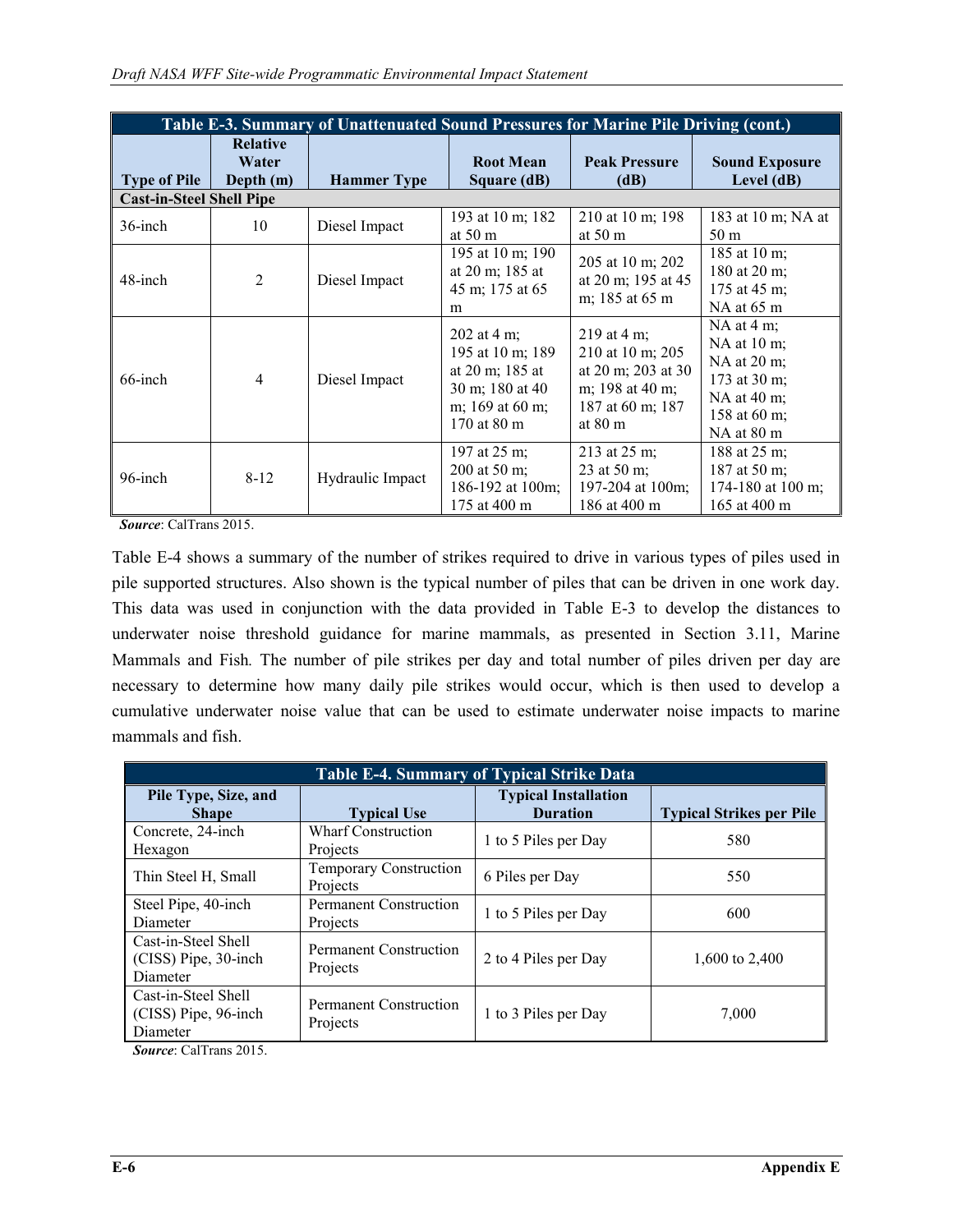| Table E-3. Summary of Unattenuated Sound Pressures for Marine Pile Driving (cont.) |                                       |                    |                                                                                                         |                                                                                                                   |                                                                                                         |
|------------------------------------------------------------------------------------|---------------------------------------|--------------------|---------------------------------------------------------------------------------------------------------|-------------------------------------------------------------------------------------------------------------------|---------------------------------------------------------------------------------------------------------|
| <b>Type of Pile</b>                                                                | <b>Relative</b><br>Water<br>Depth (m) | <b>Hammer Type</b> | <b>Root Mean</b><br>Square (dB)                                                                         | <b>Peak Pressure</b><br>(dB)                                                                                      | <b>Sound Exposure</b><br>Level (dB)                                                                     |
| <b>Cast-in-Steel Shell Pipe</b>                                                    |                                       |                    |                                                                                                         |                                                                                                                   |                                                                                                         |
| $36$ -inch                                                                         | 10                                    | Diesel Impact      | 193 at 10 m; 182<br>at $50m$                                                                            | 210 at 10 m; 198<br>at $50m$                                                                                      | 183 at 10 m; NA at<br>50 <sub>m</sub>                                                                   |
| 48-inch                                                                            | 2                                     | Diesel Impact      | 195 at 10 m; 190<br>at 20 m; 185 at<br>45 m; 175 at 65<br>m                                             | 205 at 10 m; 202<br>at 20 m; 195 at 45<br>m; 185 at 65 m                                                          | 185 at 10 m;<br>180 at 20 m;<br>175 at 45 m;<br>$NA$ at 65 m                                            |
| 66-inch                                                                            | $\overline{4}$                        | Diesel Impact      | 202 at 4 m;<br>195 at 10 m; 189<br>at 20 m; 185 at<br>30 m; 180 at 40<br>m; 169 at 60 m;<br>170 at 80 m | 219 at 4 m;<br>210 at 10 m; 205<br>at 20 m; 203 at 30<br>m; 198 at 40 m;<br>187 at 60 m; 187<br>at $80 \text{ m}$ | $NA$ at 4 m;<br>NA at 10 m;<br>NA at 20 m;<br>173 at 30 m;<br>NA at 40 m;<br>158 at 60 m;<br>NA at 80 m |
| 96-inch                                                                            | $8 - 12$                              | Hydraulic Impact   | 197 at 25 m;<br>200 at 50 m;<br>186-192 at 100m;<br>175 at 400 m                                        | $213$ at $25$ m;<br>23 at 50 m;<br>197-204 at 100m;<br>186 at 400 m                                               | 188 at 25 m;<br>187 at 50 m;<br>174-180 at 100 m;<br>165 at 400 m                                       |

*Source*: CalTrans 2015.

Table E-4 shows a summary of the number of strikes required to drive in various types of piles used in pile supported structures. Also shown is the typical number of piles that can be driven in one work day. This data was used in conjunction with the data provided in Table E-3 to develop the distances to underwater noise threshold guidance for marine mammals, as presented in Section 3.11, Marine Mammals and Fish*.* The number of pile strikes per day and total number of piles driven per day are necessary to determine how many daily pile strikes would occur, which is then used to develop a cumulative underwater noise value that can be used to estimate underwater noise impacts to marine mammals and fish.

| <b>Table E-4. Summary of Typical Strike Data</b>        |                                           |                                                |                                 |
|---------------------------------------------------------|-------------------------------------------|------------------------------------------------|---------------------------------|
| Pile Type, Size, and<br><b>Shape</b>                    | <b>Typical Use</b>                        | <b>Typical Installation</b><br><b>Duration</b> | <b>Typical Strikes per Pile</b> |
| Concrete, 24-inch<br>Hexagon                            | <b>Wharf Construction</b><br>Projects     | 1 to 5 Piles per Day                           | 580                             |
| Thin Steel H, Small                                     | Temporary Construction<br>Projects        | 6 Piles per Day                                | 550                             |
| Steel Pipe, 40-inch<br>Diameter                         | <b>Permanent Construction</b><br>Projects | 1 to 5 Piles per Day                           | 600                             |
| Cast-in-Steel Shell<br>(CISS) Pipe, 30-inch<br>Diameter | <b>Permanent Construction</b><br>Projects | 2 to 4 Piles per Day                           | 1,600 to 2,400                  |
| Cast-in-Steel Shell<br>(CISS) Pipe, 96-inch<br>Diameter | <b>Permanent Construction</b><br>Projects | 1 to 3 Piles per Day                           | 7,000                           |

*Source*: CalTrans 2015.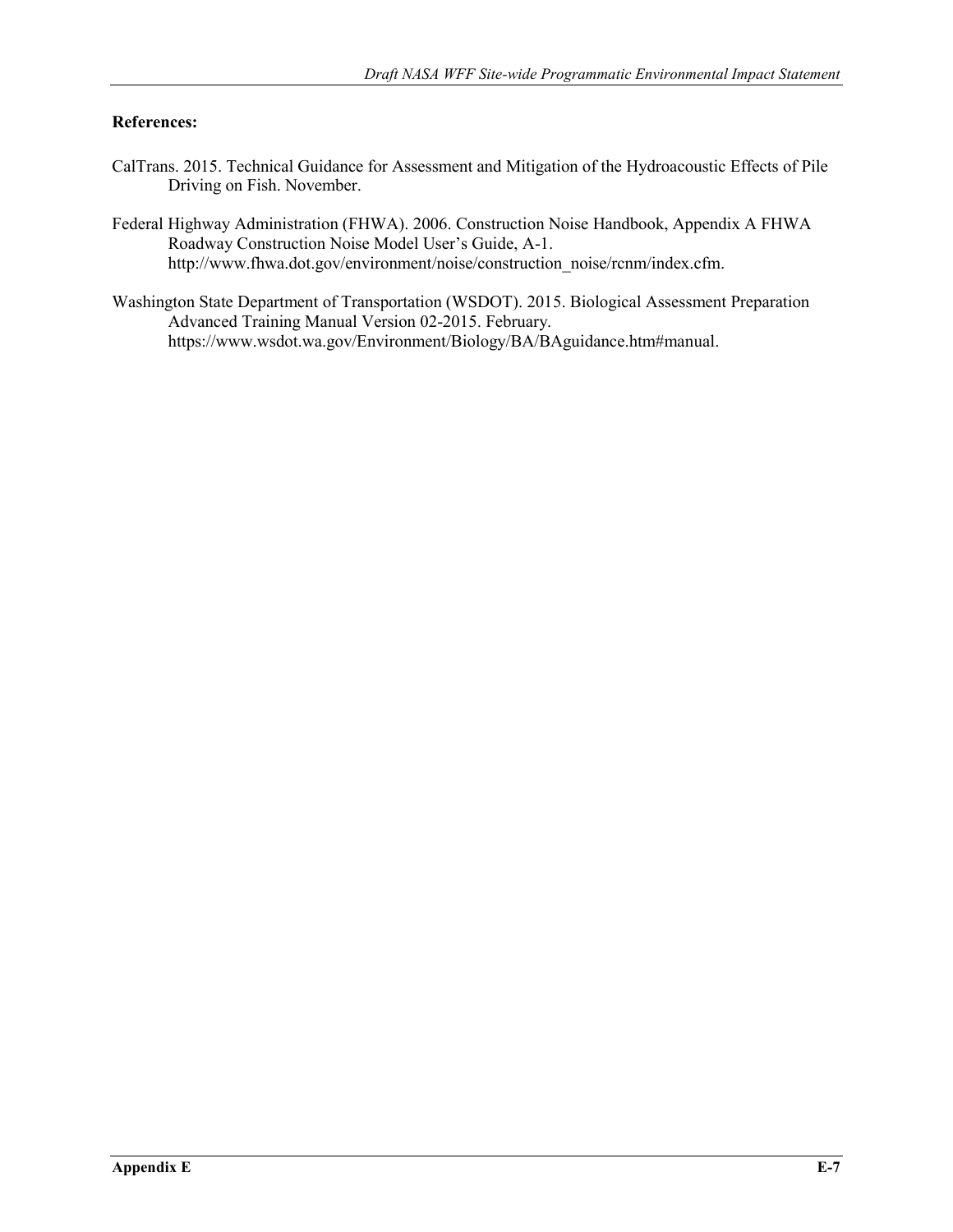## **References:**

- CalTrans. 2015. Technical Guidance for Assessment and Mitigation of the Hydroacoustic Effects of Pile Driving on Fish. November.
- Federal Highway Administration (FHWA). 2006. Construction Noise Handbook, Appendix A FHWA Roadway Construction Noise Model User's Guide, A-1. [http://www.fhwa.dot.gov/environment/noise/construction\\_noise/rcnm/index.cfm.](http://www.fhwa.dot.gov/environment/noise/construction_noise/rcnm/index.cfm)
- Washington State Department of Transportation (WSDOT). 2015. Biological Assessment Preparation Advanced Training Manual Version 02-2015. February. https://www.wsdot.wa.gov/Environment/Biology/BA/BAguidance.htm#manual.